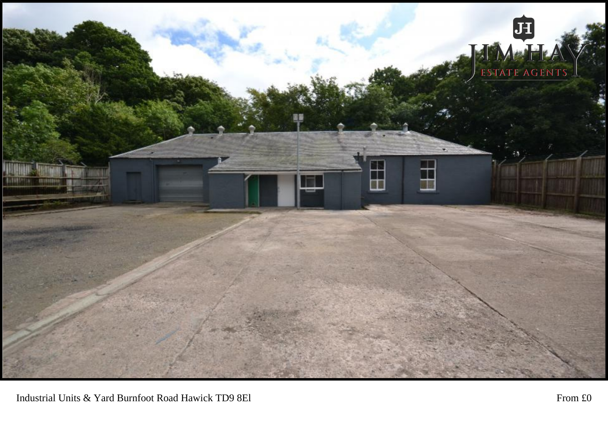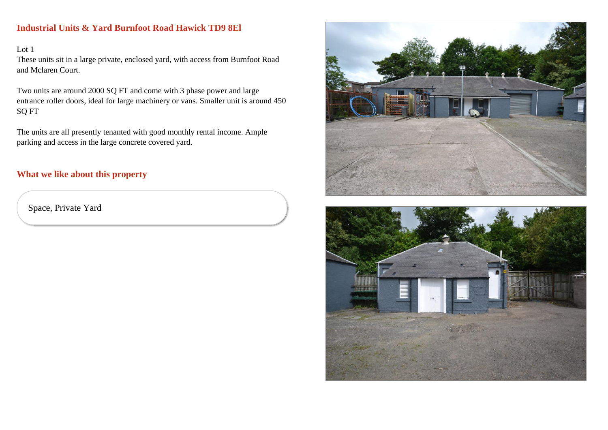# **Industrial Units & Yard Burnfoot Road Hawick TD9 8El**

### Lot 1

These units sit in a large private, enclosed yard, with access from Burnfoot Road and Mclaren Court.

Two units are around 2000 SQ FT and come with 3 phase power and large entrance roller doors, ideal for large machinery or vans. Smaller unit is around 450 SQ FT

The units are all presently tenanted with good monthly rental income. Ample parking and access in the large concrete covered yard.

## **What we like about this property**

Space, Private Yard



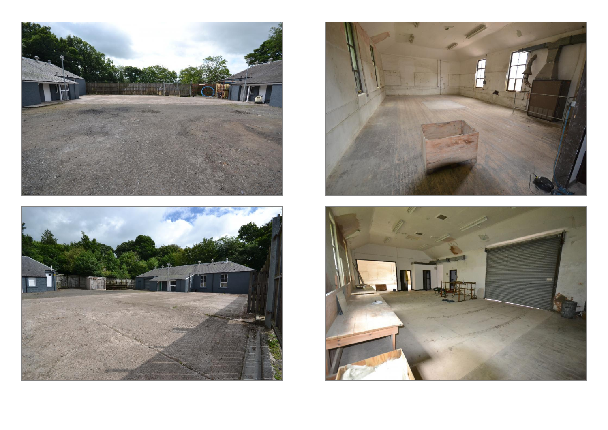